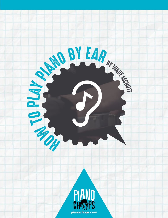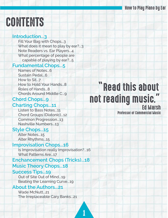## **CONTENTS**

#### **Introduction...3**

 Fill Your Bag with Chops...3 What does it mean to play by ear?...3 Note Readers vs. Ear Players...4 What percentage of people are capable of playing by ear?...5

#### **Fundamental Chops...5**

Names of Notes...6 Sustain Pedal...6 How to Sit...7 How to Hold Your Hands...8 Roles of Hands...8 Chords Around Middle C...9

## **Chord Chops...9**

### **Charting Chops...11**

 Listen to Bass Notes...11 Chord Groups (Diatonic)...12 Common Progression...13 Nashville Numbers...13

### **Style Chops...15**

 Alter Notes...15 Alter Rhythms...15

#### **Improvisation Chops...16**

 Is Improvisation really Improvisation?...16 What Patterns Are...17

#### **Enchancement Chops (Tricks)...18 Music Theory Chops...18**

### **Success Tips...19**

 Out of Site Out of Mind...19 Beating the Learning Curve...19

### **About the Authors...21**

Wade McNutt...21 The Irreplaceable Cary Banks...21

## "Read this about not reading music."

## Professor of Commercial Music

 ${\bf 1}$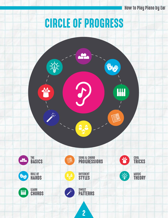## CIRCLE OF PROGRESS

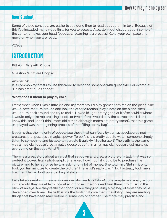#### Dear Student,

Some of these concepts are easier to see done then to read about them in text. Because of this I've included many video links for you to access. Also, don't get discouraged if some of the content makes your head feel dizzy. Learning is a process! Go at your own pace and move on when you are ready.

-Wade

## INTRODUCTION

#### **Fill Your Bag with Chops**

Question: What are Chops?

Answer: Skill.

It is common for artists to use this word to describe someone with great skill. For example: "He has great blues chops!"

#### **What does it mean to play by ear?**

I remember when I was a little kid and my Mom would play games with me on the piano. She would have me turn around and look the other direction, play a note on the piano, then I would turn back around and try to find it. I loved it! I got pretty good at it after a while where it would only take me pressing a note or two before I would play the correct one. I didn't know this, and I don't think Mom did either (although moms are pretty smart), that this game we played was the beginning process of me "filling up my bag".

It seems that the majority of people see those that can "play by ear" as special ordained creatures that possess a magical power. To be fair, it is pretty cool to watch someone simply listen to something and be able to recreate it quickly. \*Spoiler alert\* The truth is, the same way a magician doesn't really pull a goose out of thin air, a musician doesn't just make up everything on the spot. What?!

There is a great story about an artist that sat down and drew a picture of a lady that was so perfect it looked like a photograph. She asked how much it would be to purchase the picture, and to her surprise he was asking for a lot of money. She told him, "But sir, it only took you ten minutes to create the picture." The artist's reply was, "No, it actually took me a lifetime!" He had built up a big bag of skills.

Let's take a great sight reader (someone who reads notation), for example, and analyze how in the world they are able to look at all of those little dots and turn them into music in the blink of an eye. Are they really that good, or are they just using a big bag of tools they have developed over time? The truth is, it's the tools that give them the ability. They are reading things that have been read before in some way or another. The more they practice and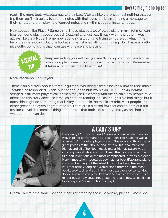read—the more tools will accumulate their bag. After a while there is almost nothing that can trip them up. Their ability to see the notes with their eyes, the brain sending a message to their hands, and then playing of correct notes and rhythms appear instantaneous.

How about an Ear Player? Same thing. I have played a lot of blues piano in my lifetime. I can hear someone play a cool blues lick (pattern) and just play it back with no problem. Was I always like that? Nope. I remember spending a lot of time trying to figure out what in the heck they were doing. But, one tool at a time, I started filling up my bag. Now I have a pretty nice collection of skills that I can use with ease and precision.



Keep reminding yourself that you are "filling up your bag" each time you accomplish a new thing. It doesn't matter how small. Remember, it takes a lot of nails to build a house!

#### **Note Readers v. Ear Players**

There is an old story about a famous guitar player being asked if he knew how to read music. To which he responded, "Yeah, but not enough to hurt my pickin'!" (FYI – Pickin' is what stringed instrument players call it when they strike a string with their pick) Many people take offense to this story (because it makes notation reading look as though it's a bad thing), but it does shine light on something that is very common in the musical world. Most people are either great ear players or great readers. There are a blessed few that can do both at a professional level. The comical thing about this is that both sides are typically astonished at what the other can do.



## A CARY STORY

In my early 20's I had a friend, Susan, who was working on her PHD in piano performance at Texas Tech. Her husband was a "wanna-be" guitar player. He and Susan would throw these great parties at their house and invite all his local musician friends and all of her Tech music major friends. Susan was an amazing pianist who could sight read the most complex Bach two-part inventions or the most complicated Stravinsky pieces. Many times when I would sit down at her beautiful grand piano and start banging out the latest Elton John, Leon Russell or Paul McCartney song, she would stand there with the most bewildered look and ask, in the most exasperated tone, "How do you know how to play like that?" She was a fantastic music reader but simply could not grasp the idea of how to just listen to a song and figure out how to play it.

I know Cary felt the same way about her sight reading those Stravinsky pieces. I know I do!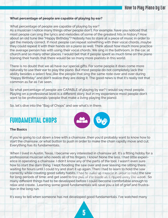#### **What percentage of people are capable of playing by ear?**

What percentage of people are capable of playing by ear?

As a musician I notice many things other people don't. For example, have you noticed that most people can sing the lyrics and melodies of some of the greatest hits in history? How about an old tune like "Happy Birthday"? Nobody has to stare at a piece of music in order to get the melody correct. If most people can repeat something with their vocal chords…maybe they could repeat it with their hands on a piano as well. Think about how much more practice the average person has with using their vocal chords. We sing in the bathroom, in the car, at church and so many other places. I would bet that if people spent as much time on the piano training their hands that there would be so many more pianists in this world.

There is no doubt that we all have our special gifts. For some people it does come more naturally to use their ear to play the piano. But most people do not completely lack the ability besides a select few…like the people that sing the same note over and over during "Happy Birthday" and don't realize they are doing it. The good news is that it's really not that common as far as I've seen.

So what percentage of people are CAPABLE of playing by ear? I would say most people. Playing on a professional level is a different story, but in my experience most people don't want to be professionals (people that make a living playing the piano).

So, let's dive into the "Bag of Chops" and see what's in there.

## FUNDAMENTAL CHOPS

#### **The Basics**

If you're going to cut down a tree with a chainsaw…then you'd probably want to know how to start the chainsaw…or what button to push in order to make the chain rapidly move and cut. Everything has its fundamentals.

When I lived in Austin, Texas, I became very interested in chainsaw art. It's a fitting hobby for a professional musician who needs all of his fingers, I know! None the less, I had little experience in operating a chainsaw. I didn't know any of the parts of the tool. I wasn't even sure how to start the darn thing. I kept flooding the saw over and over leaving me sitting there waiting for hours until I could try and start it up again. Then I had to learn to hold the saw correctly while creating good safety habits. I had to build up muscle in order to hold the saw for long periods of time; and get used to the pull of the blade as it ripped away the wood. So many different things had to be developed before I could become comfortable enough to relax and create. Learning some good fundamentals will save you a lot of grief and frustration in the long run.

It's easy to tell when someone has not developed good fundamentals. I've watched many

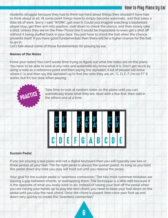students struggle because they had to think too hard about things they shouldn't have had to think about at all. At some point things have to simply become automatic, and that takes a little bit of work. Sorry, I said "WORK"…get over it. Could you imagine watching a basketball player stop, get their arm into position, look down to check the stance, and then slowly take a shot. Unless they are on the Free-Throw line it would be impossible to even get a shot off without it being stuffed back in your face. You just have to shoot the ball when the chance presents itself. If you have good fundamentals then there will be a higher chance for the ball to go in.

Let's talk about some of those fundamentals for playing by ear.

#### **Names of the Notes**

Know your notes! You can't waste time trying to figure out what the notes are on the piano. You have to be able to look at any note and automatically know what it is. Don't get stuck by using a note as a reference point and then saying the alphabet. A lot of people will know where C is and then say the alphabet up to find the note they are on. "C, D, E, F…I'm on F!" It works, but it's too slow when playing.



Take time to look at random notes on the piano until you can autmatically know what they are. Start with a few first, then add in the others one at a time.



#### **Sustain Pedal**

If you are playing a real piano and not a digital keyboard then you will typically see two or three pedals at your feet. The far right pedal is always the sustain pedal. As long as you hold this pedal down any note you play will hold out until you release the pedal.

Your goal for the sustain pedal is "seamless connection." The two most common mistakes are leaving a gap between chords, or overlapping them. The technique is a little odd because it is the opposite of what you really want to do. Instead of raising your foot off the pedal when you are raising your hands up to play the next chord, you need to keep your foot down on the pedal until you play the next chord. Once the chord is played, then raise your foot up and down very quickly to create the "seamless connection."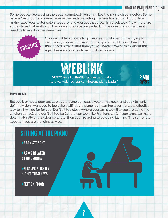Some people avoid using the pedal completely which makes the music disconnected. Some have a "lead foot" and never release the pedal resulting in a "muddy" sound…kind of like mixing all of your water colors together and you get that brownish black look. Now, there are some styles that really don't require a lot of sustain pedal, but the ones that do require it need us to use it in the same way.



Choose just two chords to go between. Just spend time trying to seamlessly connect those without gaps or muddiness. Then add a third chord. After a little time you will never have to think about this again because your body will do it on its own.

## WEBLINK

VIDEOS for all of the "Basics" can be found at: http://www.pianochops.com/lessons/piano-basics/



#### **How to Sit**

Believe it or not, a poor posture at the piano can cause your arms, neck, and back to hurt. I definitely don't want you to look like a stiff at the piano, but learning a comfortable effective way to sit will go far for you. Don't sit too close (where your arms look like you are doing the chicken dance), and don't sit too far (where you look like Frankenstein). If your arms can hang down naturally at a 90 degree angle, then you are going to be doing just fine. The same rule applies if you are standing as well.

## SITTING AT THE PIANO

+BACK STRAGHT

+ARMS RELAXED AT 90 DEGREES

+ELBOWS SLIGHTLY HIGHER THAN KEYS

+FEET ON FLOOR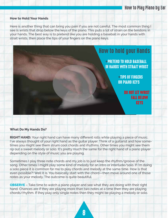#### **How to Hold Your Hands**

Here is another thing that can bring you pain if you are not careful. The most common thing I see is wrists that drop below the keys of the piano. This puts a lot of strain on the tendons in your hands. The best way is to pretend like you are holding a baseball in your hands with strait wrists, then place the tips of your fingers on the piano keys.

## How to hold your Hands

+PRETEND TO HOLD BASEBALL IN HANDS WITH STRAIT WRIST

> +TIPS OF FINGERS ON PIANO KEYS

> > DO NOT LET WRIST FALL BELOW KEYS

#### **What Do My Hands Do?**

**RIGHT HAND:** Your right hand can have many different rolls while playing a piece of music. I've always thought of your right hand as the guitar player. Think of a guitarist and how sometimes you might see them strum cool chords and rhythms. Other times you might see them rip out a sweet melody or solo. It's pretty much the same for the right hand of a piano player depending on the style of music you are playing.

Sometimes I play three note chords and my job is to just keep the rhythm/groove of the song. Other times I might play some kind of melody for an intro or interlude/solo. If I'm doing a solo piece it is common for me to play chords and melody at the same time. How is that even possible?! Well it is. You basically start with the chord—then move around one of those notes as your melody. The outcome is quite beautiful.

**OBSERVE** – Take time to watch a piano player and see what they are doing with their right hand. Chances are if they are playing more than two notes at a time then they are playing chords/rhythm. If they play only single notes then they might be playing a melody or solo.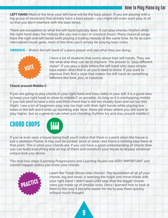**LEFT HAND:** Most of the time your left hand will be the bass player. If you are playing with a big group of musicians that already have a bass player—you might not even want play at all so that you don't interfere with the bass tones.

There are exceptions to what the left hand typically does. It can play chords/rhythm while the right hand does the melody like you see in jazz or classical music. Many classical songs have the right and left hands both playing a trading melody at the same time. As far as commercialized music goes, most of the time you'll simply be playing bass notes.

**OBSERVE** – Watch the left hand of a piano player and see what they are doing.



I have a lot of students that worry about their left hands. They ask me what else they can do to improve. The answer is, "play different styles". If you play a style where the left hand only does simple bass notes—then that is all you'll need to know. If you want to improve then find a style that makes the left hand do something different like funk, jazz, or classical.

#### **Chord around Middle C**

If you are going to play chords in your right hand and bass notes in your left, it is a good idea to keep your right hand as close to middle C as possible. As long as it is overlapping middle C you will tend to have a nice and thick chord that is not too muddy (low) and not too thin (high). I see a lot of beginners play way too high with their right hands while playing low notes in the left and it ends up sounding odd. Now, there are times where you will want to play higher, but as a general rule when just chording rhythms try and stay around middle C

## CHORD CHOPS



If you've ever seen a house being built you'll notice that there is a point when the house is just a skeleton/frame. It may just be lumber, brick or steal—but there is nothing else there at that point. This is what your chords are. If you can have a good understanding of chords then you can build everything else on top of them and construct your house to display whatever unique look you desire.

The next two steps (Learning Progressions and Learning Styles) are VERY IMPORTANT and cannot happen unless you know your chords.



 Learn the Triads (three note chords). The foundation of all of your chords, big and small, is learning the major and minor triads with your right hand. I didn't learn until later that the bigger chords were just made up of smaller ones. Once I learned how to look at them in this way it became easier for me to play them quickly without much thought.

**Q**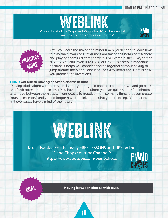

VIDEOS for all of the "Major and Minor Chords" can be found at: http://www.pianochops.com/lessons/chords/





After you learn the major and minor triads you'll need to learn how to play their inversions. Inversions are taking the notes of the chord and playing them in different orders. For example, the C major triad is C E G. You can invert it to E G C or G C E. This step is important because it helps you connect chords together without having to jump around the piano—and it sounds way better too! Here is how you practice the inversions:

#### **FIRST: Get use to moving between chords in time**

Playing triads alone without rhythm is pretty boring—so choose a chord or two and go back and forth between them in time. You have to get to where you can quickly see/feel chords and move between them easily. Your goal is to practice them so many times that you create "muscle memory" and you no longer have to think about what you are doing. Your hands will eventually have a mind of their own.

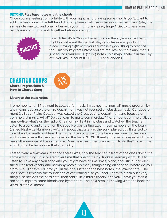#### **SECOND: Play bass notes with the chords**

Once you are feeling comfortable with your right hand playing some chords you'll want to add in a bass note in the left hand. A lot of players will use octaves in their left hand (play the same note one low and one higher with your thumb and pinky finger). Get to where your hands are starting to work together before moving on.



 Bass Notes With Chords: Depending on the style your left hand might do different things, but playing octaves is a good starting place. Playing a 5th with your thumb is a good thing to practice too. This works great unless you are real low on the piano…then it just sounds "muddy". A 5th is 5 notes up a major scale. If in the Key of C you would count (C, D, E, F, G) and landon G.

CHARTING CHOPS **Chord Progressions &**



**How to Chart a Song** 

#### **Listen to the bass notes**

I remember when I first went to college for music. I was not in a "normal" music program by any means because the entire department was not focused on classical music. Our department (at South Plains College) was called the Creative Arts department and focused on commercial music. What? Do you learn to make commercials? No, it means commercialized music—like what's on the radio. One morning I sat in my class and watched the teacher listen to a song and chart it on the spot. He was writing all of these numbers on the board (called Nashville Numbers…we'll talk about that later) as the song played out. It started to look like a big math problem. Then, when the song was done he walked over to the piano and played it exactly like it sounded on the track. WOW! It really opened my eyes…and made me a little nervous at the same time. Does he expect me to know how to do this? How in the world could he have done that so quickly?

Fast forward a few years later and there I was, now the teacher in front of the class doing the same exact thing. I discovered over time that one of the big tricks is learning what NOT to listen to. Take any given song and you might have drums, bass, piano, acoustic guitar, electric guitar, lead vocals, and harmony vocals. So many things going on at once. Where do you start? Well, I answered it for you in the title. Listen to the bass notes (the lowest note). The bass note is typically the foundation of everything else you hear. Learn to block out everything else besides the bass note, then add a little music theory, and you'll have yourself a recipe to impress some friends and bystanders. The next step is knowing what the heck the word "diatonic" means.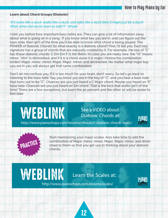#### **Learn about Chord Groups (Diatonic)**

#### *"If it looks like a duck, walks like a duck, and talks like a duck then it might just be a duck! (Wait, when did ducks learn to talk!?)" -Wade*

I told you before how important bass notes are. They can give a lot of information away about what is going on in a song. If you know what key you are in, and can figure out the bass note, then 90% of the time you'll be able to know what chord is being played. The POWER of Diatonic Chords! So what exactly is a diatonic chord? Fine, I'll tell you. Each key signature has a group of chords that are naturally created by it. For example, the key of "C" has these diatonic chords: C Dm Em F G Am Bdim. (In case you are really new, the "m" means minor, "dim" is diminished, and if it is a chord alone it is major.) Notice the combination (order): Major, minor, minor, Major, Major, minor, and diminished. No matter what major key you are in you will always get that same combination.

Don't let me confuse you. If it is too much for your brain, don't worry. So let's go back to listening to the bass note. Say you know you are in the key of "C", and you hear a bass note that turns out to be "C". Chances are you just heard a C Major chord. Maybe you heard an "E" bass note. Chances are you just heard an Em chord. That is the trick that works 90% of the time! There are a few exceptions…but learn the 90 percent and the other 10 will be easier to find later.

## WEBLINK

WEBLINK

### See a VIDEO about Diatonic Chords at:



http://www.pianochops.com/lessons/chords/c-diatonic-chords-basic/



 Start memorizing your major scales. Also take time to add the combination of Major, minor, minor, Major, Major, minor, and dimin ished to them so that you get use to thinking about your diatonic chords.

## Learn the Scales at:



http://www.pianochops.com/lessons/scales/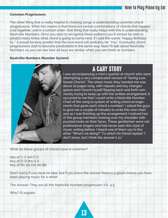#### **Common Progressions**

The other thing that is really helpful in charting songs is understanding common chord progressions. What this means is that there are certain combinations of chords that happen a lot together…and in a certain order. One thing that really helps with this is understanding Nashville Numbers. Once you start to recognize these patterns you'll almost be able to predict many times what chord is going to come next. If I said the words "Happy Birthday to…" it would be easy predict that the next word will probably be "You". Eventually chord progressions start to become predictable in the same way. Next I'll talk about Nashville Numbers so you can see how all keys are similar when you see them as numbers.

#### **Nashville Numbers (Number System)**



## A CARY STORY

I was accompanying a men's quartet at church who were attempting a very complicated version of "Swing Low, Sweet Chariot". The sheet music they handed me was about 16 pages long, with repeats and key changes galore and I found myself flipping back and forth constantly trying to keep up with the written arrangement. It occurred to me that I could write a Nashville Number Chart of the song (a system of writing chord arrangements that gives each chord a number). I asked the guys to give me a couple of minutes to write this new chart and as I was finishing up the arrangement I noticed two of the group members looking over my shoulder with puzzled looks on their faces. These gentlemen were not professional singers and had never seen this style of music writing before. I heard one of them say to the other "What's he doing?" To which his friend replied "I don't know, but I think the answer's 11."

What do these groups of chords have in common?

Key of C: C Am F G Key of D: D Bm G A Key of Eb: Eb Cm Ab Bb

Don't worry if you have no idea…but if you know the answer there is a good chance you have been playing music for a while!

The Answer: They are all this Nashville Number progression: 1 6- 4 5

Why? I'll explain.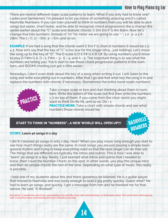There are twelve different major scale patterns to learn. What if you only had to know one? Ladies and Gentlemen, I'm pleased to let you know of something amazing and it's called Nashville Numbers. If you can train yourself to think in numbers then you will be able to pick songs out easier, chart faster, and be able to recognize chord progressions like a champ! We spoke earlier about the "C" scale and diatonic chords. C Dm Em F G Am Bdim. Now let's change that into numbers. Instead of "m" for minor we are going to use "-". 1 2- 3- 4 5 6- 7dim. The 1 = C, 2- = Dm, 3- = Em…and so on.

**EXAMPLE:** If we had a song that the chords went C Em F G. then in numbers it would be 1 3-4 5. Now let's say that the key of "C" is too low for the singer (diva... just kidding). Let's move the song up to the key of "D". The D scale is D E F# G A B C#. By using numbers you'll know to play D F#m G A. D = 1, F#m =  $3-$ , G = 4, and A = 5. The important thing is to see what the numbers are telling you. You'll start to see those chord progression patterns in the numbers…and BOOM! charting just got a little easier.

Nowadays, I don't even think about the key of a song when writing it out. I will listen to the song and write everything out in numbers. After that I go and find what key the song is in and replace the numbers with chords, if necessary. (Sometimes the entire band reads numbers).



 Take a major scale or two and start thinking about them in num bers. Write the letters of the scale out first then write the numbers 1-7 on top of them. If you come from the choir world you might want to think Do Re Mi...and so on, Do = 1.

**PRACTICE MORE:** Take a chart with simple chords and see what numbers those chords would be.

#### **START TO THINK IN "NUMBERS"...A NEW WORLD WILL OPEN UP!!!**



#### **STORY: Learn 40 songs in 1 day**

I did it! I learned 40 songs in only 1 day. How? When you play music long enough you start to see how much things really are the same. In most songs you are just playing a simple background rhythm and trying to keep everything solid so that the lead singer can do their job. The things that are different are typically the intros and outros. This is how I was able to "learn" 40 songs in a day. Really, I just learned what intros and outros that I needed to know…then I read the Number Charts on the spot. In other words, you play the unique intro and then do simple chords the rest of the time. Depending on what type of music, this really is possible.

 I told one of my students about this and thank goodness he listened. He is a guitar player that moved to Nashville and was lucky enough to land a gig pretty quickly. Guess what? He had to learn 40 songs…and quickly. I got a message from him and he thanked me for that advice. He said, "It Worked!"

Disclaimer: It would not work if you were playing very specific music like classical tunes…or strait piano solos. This works best when playing with a band that does commercialized music (including worship).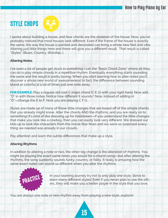## STYLE CHOPS



I spoke about building a house…and how chords are the skeleton of the house. Now, you've probably noticed that most houses look different. Even if the frame of the house is exactly the same, the way the house is painted and decorated can bring a whole new feel and vibe. Altering just little things here and there will give you a different result. That result is called "Styles" (Blues, Country, Worship…)

#### **Altering Notes**

I've seen a lot of people get stuck in something I call the "Basic Chord Zone" where all they can do is play simple chords in a repetitive rhythm. Eventually everything starts sounding the same and the result is pretty boring. When you start learning how to alter notes you'll discover a whole new world of awesomeness! In fact, the difference between sounding bland or colorful is a lot of times just one note away.

**FOR EXAMPLE:** Play a regular old root C major chord (C E G) with your right hand. Now add "D" in with those notes. Notice how different it sounds? Now, instead of adding in "D"—change the E to F. Now you are playing C F G.

Styles are made up of many of these little changes that are based off of the simple chords that you already might know. Alter the chords AND the rhythms…and you are really on to something! It's kind of like dressing up for Halloween—if you understand the little changes that make you look like a cowboy, then you can easily look very different. We dressed our kids up to look like characters from the movie Star Wars and we were so surprised everything we needed was already in our closets.

Pay attention and learn the subtle differences that make up a style.

#### **Altering Rhythms**

In addition to altering a note or two, the other big change is the alteration of rhythms. You might be playing the exact same notes you would for a church song—but after altering the rhythms, the song suddenly sounds funky, country, or folky. It really is amazing how the same exact notes can sound so different when you alter the rhythms.



 In your learning journey try not to only play one style. Strive to learn many different styles! Even if you never plan to use the oth ers…they will make you a better player in the style that you love.

You are always one note or new rhythm away from playing a new style…explore!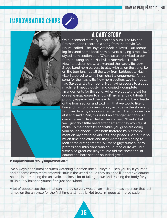## IMPROVISATION CHOPS







## A CARY STORY

On our second Mercury Records album, The Maines Brothers Band recorded a song from the movie "48 Hours" called "The Boys Are back In Town". Our recording featured some local horn players playing a rock, R&B styled horn section part. When we were invited to perform the song on the Nashville Network's "Nashville Now" television show, we wanted the Nashville Now Stage band horn players to play with us on the song. So, on the tour bus ride all the way from Lubbock to Nashville, I labored to write horn chart arrangements for our song for the Nashville Now horn section, two trumpets, two Saxes and a trombone. Not having access to a copy machine, I meticulously hand copied 5 complete arrangements for the song. When we got to the set for our rehearsal, eager to show off my arranging talents, I proudly approached the lead trumpeter and band leader of the horn section and told him that we would like for him and his horn players to play with us on the show and I showed him my glorious arrangement. He took one look at it and said, "Man, this is not an arrangement, this is a damn career". He smiled at me and said, "thanks, but we'll just do a little head arrangement (they would just make up their parts by ear) while you guys are doing your sound check". I was both flattered by his compliment on my arranging abilities, and pissed I had put in so much time and effort and they weren't even going to look at the arrangements. All these guys were superb professional musicians who could read quite well but were also great ear players. We did the show and, of course, the horn section sounded great.

#### **Is improvisation really improvisation??**

I've always been amazed when watching a person ride a unicycle. Then you try it yourself and become even more amazed! How in the world could they balance like that? Of course, no one is born riding the unicycle. It takes a lot of falling down and training the body for you to uniquely balance yourself on just one wheel.

A lot of people see those that can improvise very well on an instrument as a person that just jumps on the unicycle for the first time and rides it. Not true. I'm good at improvisation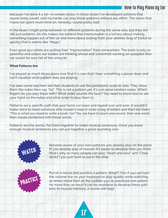because I've done it a lot—in certain styles. In those styles I've developed patterns that sound really sweet…and my hands can play those patterns without any effort. The styles that I have not spent much time on, honestly, sound pretty bad.

In the blues I might jump between 10 different patterns during the same solo, but they are still just patterns. All this makes me believe that improvisation is a lot less about making something happen out of thin air and more about pulling from your abilities (bag of tricks) so quickly that is seems like "Magic".

Even great jazz artists are pulling their "improvisation" from somewhere. The brain is only so powerful and unless our bodies are thinking ahead and somewhat working on autopilot then we would for sure fall of the unicycle.

#### **What Patterns Are**

I've played so much blues piano now that it is rare that I hear something a player does and can't visualize what pattern they are playing.

I've seen some teachers tell their students to use the pentatonic scale to solo. They show them the notes then say "Go". This is not a pattern yet, it's just some random notes. Which fingers do you play them with? What order sounds the best? You need to know how to set your hand on the notes and what order to play them in.

Patterns are a specific path that your hand can learn and repeat over and over. It wouldn't make since to hand someone who couldn't read or write a bag of letters and then tell them, "This is what you need to write a book. Go!" No, we have to learn one sound, then one word, then create sentences with those words.

Patterns are the words. Put them together to make musical sentences. Once you know enough musical sentences you can put together a great sounding solo.

# WATCH

 Become aware of your own patterns you already play on the piano (if you already play of course). It's easier to develop than you think (that's why so many people can play "Heart and Soul" and "Chop sticks") you just have to put in the time.



 Put on a movie and practice a pattern. What?! Yes, if you can turn the volume low on your keyboard or play quietly while watching an entire move then all the sudden you've practiced one pattern for more than an hour! It can be mundane to develop these patt erns to muscle memory…a movie will help!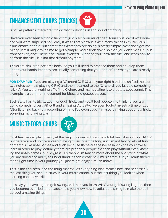## ENHANCEMENT CHOPS (TRICKS)

Just like patterns…there are "tricks" that musicians use to sound amazing.

Have you ever seen a magic trick that just blew your mind, then…found out how it was done and you were surprised how easy it was? That's how it is with many things in music. Musicians amaze people, but sometimes what they are doing is pretty simple. Now don't get me wrong, it still might take time to get a simple magic trick down so that you don't mess it up in front of everyone! There is still work involved. But once you know the trick and learn how to perform the trick, it is not that difficult anymore.

Tricks are similar to patterns because you still need to practice them and develop them under your hands; but they are usually something that you "add on" to what you are already doing.

**FOR EXAMPLE:** If you are playing a "C" chord (C E G) with your right hand and shifted the top two notes up (now playing C F A) and then returned to the "C" chord…you just did something "tricky". You were working off of the C chord and manipulating it to create a cool sound. This example is a common movement for blues and gospel players.

Each style has its tricks. Learn enough tricks and you'll fool people into thinking you are doing something very difficult and amazing. Actually, I've even fooled myself a time or two. After listening back to a recording of mine I've even caught myself thinking about how tricky sounding my playing was.

## MUSIC THEORY CHOPS

Most teachers explain theory at the beginning--which can be a total turn off--but this TRULY is where you end up if you keep playing music over the long run. I'm not talking about fundamentals like note names and such because those are the necessary things you have to learn in order to play (actually there are probably people that can play without even knowing the notes names…but I digress). By theory I'm talking more about the analyzing of what you are doing, the ability to understand it, then create new music from it. If you learn theory at the right time in your journey you just might enjoy it much more!

This is the final step…and the thing that makes everything else make since. Not necessarily the last thing you should study in your music career, but the last thing you look at when learning each new skill.

Let's say you have a good golf swing…and then you learn WHY your golf swing is good…then you become even better because now you know how to adjust the swing to make the ball do cool amazing things!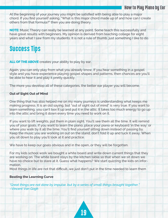At the beginning of your journey you might be satisfied with being able to play a major chord. If you find yourself asking, "What is this major chord made up of and how can I create others from that formula?" then you are doing theory.

**NOTE:** Music Theory can really be learned at any point. Some teach this successfully and have great results with beginners. My opinion is derived from teaching college for eight years and what I saw from my students. It is not a rule of thumb, just something I like to do.

## Success Tips

**ALL OF THE ABOVE** creates your ability to play by ear.

Again, you can only play from what you already know. If you hear something in a gospel style and you have experience playing gospel shapes and patterns, then chances are you'll be able to hear it and play it pretty quickly.

The more you develop all of these categories, the better ear player you will become.

#### **Out of Sight Out of Mind**

One thing that has also helped me on my many journeys is understanding what keeps me making progress. It is an old saying, but "out of sight out of mind" is very true. If you want to learn something, you can't box it up and put it in the attic. It takes too much energy to go up into the attic and bring it down every time you need to work on it.

If you want to lift weights, put them in plain sight. You'll see them all the time. It will remind you of your goals. If you want to learn the piano, place your piano or keyboard 'in the way' or where you walk by it all the time. You'll find yourself sitting down instead of passing by. Keep the music you are working on out on the stand, don't fold it up and tuck it away. When you sit down to play you'll look at it and practice.

We have to keep our goals obvious and in the open... or they will be forgotten.

For my kids school work we bought a white board and write down current things that they are working on. The white board stays by the kitchen table so that when we sit down we have no choice but to stare at it. Guess what happens? We start quizzing the kids on information.

Most things in life are not that difficult…we just don't put in the time needed to learn them

#### **Beating the Learning Curve**

*"Great things are not done by impulse, but by a series of small things brought together." –Vincent Van Gogh*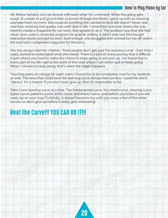Ok, fellow humans, let's be honest with each other for a moment. When the going gets tough, it's easier to just give in than to power through and finish. I grew up with an amazing example from my mom. She could do anything she wanted to (and still does)! I never realized how amazing that quality was until later in life. I remember one time where she was hired to create a magazine for our town. She agreed to do it. The problem was that she had never even used a computer program for graphic editing. It didn't stop her! She bought instruction books and got to work. Sure enough, she struggled and worked her tail off, and in the end had a completed magazine for the town.

She has always told her children, "Most people don't get past the learning curve". Over time I really started to understand what she meant. There is a part of every journey that is difficult. A part where you have to make the choice to keep going or just give up. I've found that in every part of my life I get to the point of the road where I can either quit or keep going. When I choose to keep going, that's when the magic happens.

Teaching piano at college for eight years I found this to be completely true for my students as well. The ones that could beat the learning curve always had success. I used the word "always" for a reason. If you don't ever give up, then it's impossible to fail.

Take it one learning curve at a time. The fundamental curve, the chord curve, charting curve, styles curve, patterns curve, tricks curve, and theory curve…and before you know it you will really be on your way! Truthfully, it doesn't become fun until you cross a few of the initial curves, so don't give up before it really gets interesting!

## Beat the Curve!!! YOU CAN DO IT!!!